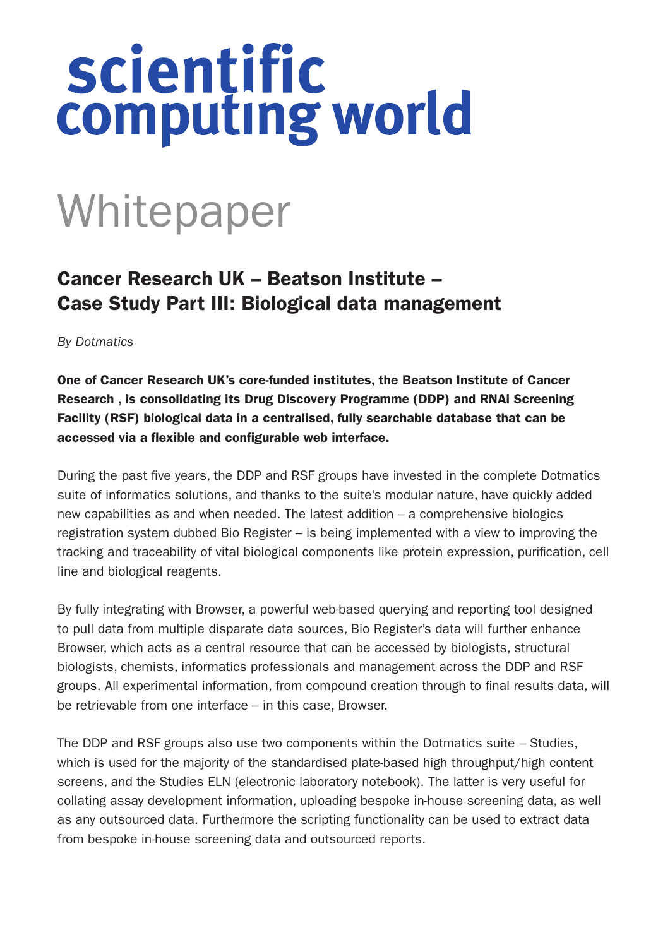## scientific<br>computing world

## Whitepaper

## Cancer Research UK – Beatson Institute – Case Study Part III: Biological data management

*By Dotmatics*

One of Cancer Research UK's core-funded institutes, the Beatson Institute of Cancer Research , is consolidating its Drug Discovery Programme (DDP) and RNAi Screening Facility (RSF) biological data in a centralised, fully searchable database that can be accessed via a flexible and configurable web interface.

During the past five years, the DDP and RSF groups have invested in the complete Dotmatics suite of informatics solutions, and thanks to the suite's modular nature, have quickly added new capabilities as and when needed. The latest addition – a comprehensive biologics registration system dubbed Bio Register – is being implemented with a view to improving the tracking and traceability of vital biological components like protein expression, purification, cell line and biological reagents.

By fully integrating with Browser, a powerful web-based querying and reporting tool designed to pull data from multiple disparate data sources, Bio Register's data will further enhance Browser, which acts as a central resource that can be accessed by biologists, structural biologists, chemists, informatics professionals and management across the DDP and RSF groups. All experimental information, from compound creation through to final results data, will be retrievable from one interface – in this case, Browser.

The DDP and RSF groups also use two components within the Dotmatics suite – Studies, which is used for the majority of the standardised plate-based high throughput/high content screens, and the Studies ELN (electronic laboratory notebook). The latter is very useful for collating assay development information, uploading bespoke in-house screening data, as well as any outsourced data. Furthermore the scripting functionality can be used to extract data from bespoke in-house screening data and outsourced reports.